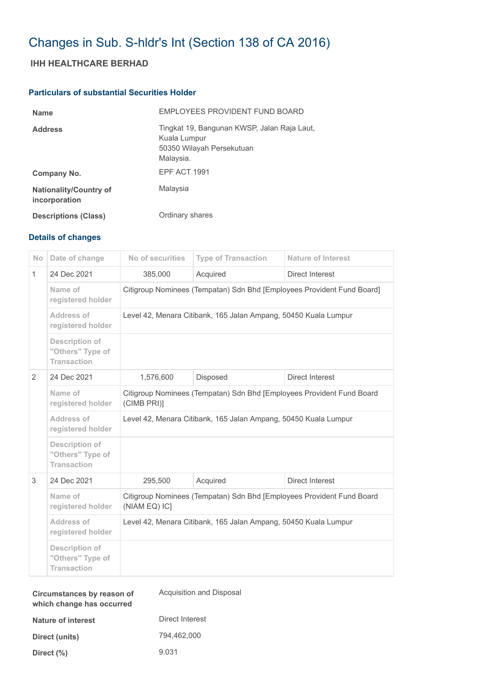# Changes in Sub. S-hldr's Int (Section 138 of CA 2016)

## **IHH HEALTHCARE BERHAD**

### **Particulars of substantial Securities Holder**

| <b>Name</b>                                    | EMPLOYEES PROVIDENT FUND BOARD                                                                        |
|------------------------------------------------|-------------------------------------------------------------------------------------------------------|
| <b>Address</b>                                 | Tingkat 19, Bangunan KWSP, Jalan Raja Laut,<br>Kuala Lumpur<br>50350 Wilayah Persekutuan<br>Malaysia. |
| Company No.                                    | EPF ACT 1991                                                                                          |
| <b>Nationality/Country of</b><br>incorporation | Malaysia                                                                                              |
| <b>Descriptions (Class)</b>                    | Ordinary shares                                                                                       |

### **Details of changes**

| Date of change                                                  | No of securities                                                                       | <b>Type of Transaction</b> | <b>Nature of Interest</b> |  |
|-----------------------------------------------------------------|----------------------------------------------------------------------------------------|----------------------------|---------------------------|--|
| 24 Dec 2021                                                     | 385,000                                                                                | Acquired                   | Direct Interest           |  |
| Name of<br>registered holder                                    | Citigroup Nominees (Tempatan) Sdn Bhd [Employees Provident Fund Board]                 |                            |                           |  |
| Address of<br>registered holder                                 | Level 42, Menara Citibank, 165 Jalan Ampang, 50450 Kuala Lumpur                        |                            |                           |  |
| <b>Description of</b><br>"Others" Type of<br><b>Transaction</b> |                                                                                        |                            |                           |  |
| 24 Dec 2021                                                     | 1,576,600                                                                              | Disposed                   | Direct Interest           |  |
| Name of<br>registered holder                                    | Citigroup Nominees (Tempatan) Sdn Bhd [Employees Provident Fund Board<br>(CIMB PRI)]   |                            |                           |  |
| Address of<br>registered holder                                 | Level 42, Menara Citibank, 165 Jalan Ampang, 50450 Kuala Lumpur                        |                            |                           |  |
| <b>Description of</b><br>"Others" Type of<br><b>Transaction</b> |                                                                                        |                            |                           |  |
| 24 Dec 2021                                                     | 295,500                                                                                | Acquired                   | Direct Interest           |  |
| Name of<br>registered holder                                    | Citigroup Nominees (Tempatan) Sdn Bhd [Employees Provident Fund Board<br>(NIAM EQ) IC] |                            |                           |  |
| Address of<br>registered holder                                 | Level 42, Menara Citibank, 165 Jalan Ampang, 50450 Kuala Lumpur                        |                            |                           |  |
| <b>Description of</b><br>"Others" Type of<br><b>Transaction</b> |                                                                                        |                            |                           |  |
|                                                                 |                                                                                        |                            |                           |  |

| Circumstances by reason of<br>which change has occurred | Acquisition and Disposal |
|---------------------------------------------------------|--------------------------|
| Nature of interest                                      | Direct Interest          |
| Direct (units)                                          | 794,462,000              |
| Direct $(\%)$                                           | 9.031                    |